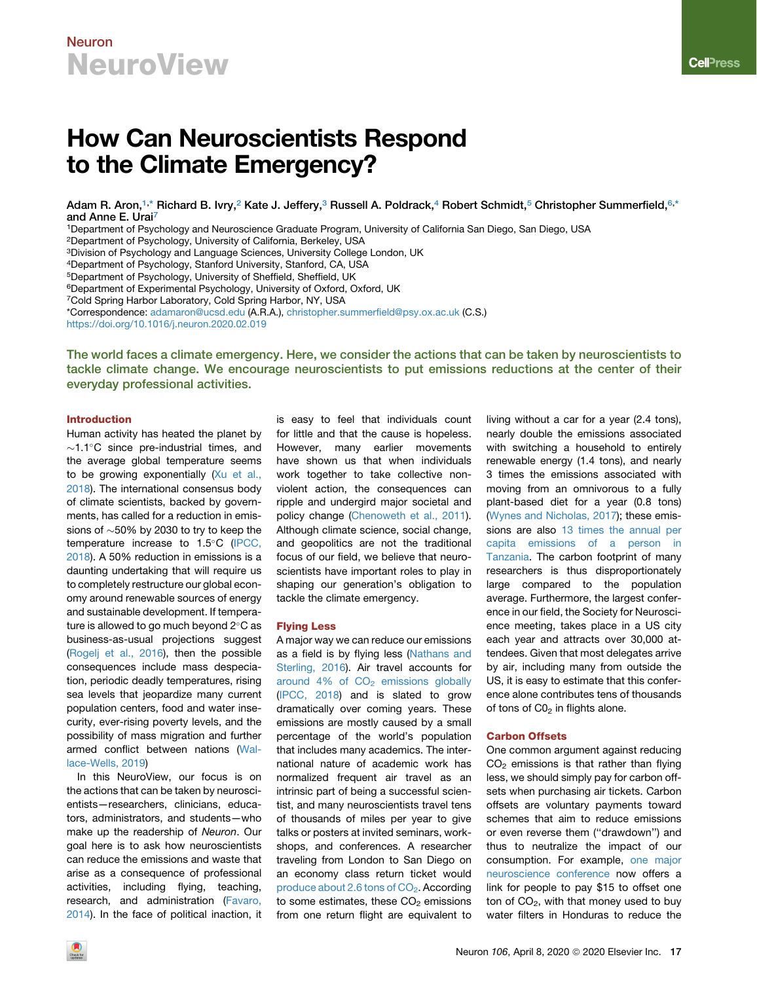## Neuron **NeuroView**

# How Can Neuroscientists Respond to the Climate Emergency?

Adam R. Aron,[1](#page-0-0),\* Richard B. Ivry,<sup>[2](#page-0-1)</sup> Kate J. Jeffery,<sup>[3](#page-0-2)</sup> Russell A. Poldrack,<sup>[4](#page-0-3)</sup> Robert Schmidt,<sup>[5](#page-0-4)</sup> Christopher Summerfield,<sup>[6](#page-0-5),[\\*](#page-0-6)</sup> and Anne E. Urai<sup>[7](#page-0-7)</sup>

<span id="page-0-0"></span>1Department of Psychology and Neuroscience Graduate Program, University of California San Diego, San Diego, USA

<span id="page-0-1"></span>2Department of Psychology, University of California, Berkeley, USA

<span id="page-0-2"></span>3Division of Psychology and Language Sciences, University College London, UK

<span id="page-0-3"></span>4Department of Psychology, Stanford University, Stanford, CA, USA

<span id="page-0-4"></span>5Department of Psychology, University of Sheffield, Sheffield, UK

<span id="page-0-5"></span>6Department of Experimental Psychology, University of Oxford, Oxford, UK

<span id="page-0-7"></span>7Cold Spring Harbor Laboratory, Cold Spring Harbor, NY, USA

<span id="page-0-6"></span>\*Correspondence: [adamaron@ucsd.edu](mailto:adamaron@ucsd.edu) (A.R.A.), [christopher.summerfield@psy.ox.ac.uk](mailto:christopher.summerfield@psy.ox.ac.uk) (C.S.)

<https://doi.org/10.1016/j.neuron.2020.02.019>

The world faces a climate emergency. Here, we consider the actions that can be taken by neuroscientists to tackle climate change. We encourage neuroscientists to put emissions reductions at the center of their everyday professional activities.

### Introduction

Human activity has heated the planet by  $\sim$ 1.1°C since pre-industrial times, and the average global temperature seems to be growing exponentially ([Xu et al.,](#page-3-0) [2018\)](#page-3-0). The international consensus body of climate scientists, backed by governments, has called for a reduction in emissions of  $\sim$  50% by 2030 to try to keep the temperature increase to  $1.5^{\circ}$ C [\(IPCC,](#page-3-1) [2018\)](#page-3-1). A 50% reduction in emissions is a daunting undertaking that will require us to completely restructure our global economy around renewable sources of energy and sustainable development. If temperature is allowed to go much beyond  $2^{\circ}$ C as business-as-usual projections suggest [\(Rogelj et al., 2016\)](#page-3-2), then the possible consequences include mass despeciation, periodic deadly temperatures, rising sea levels that jeopardize many current population centers, food and water insecurity, ever-rising poverty levels, and the possibility of mass migration and further armed conflict between nations ([Wal](#page-3-3)[lace-Wells, 2019\)](#page-3-3)

In this NeuroView, our focus is on the actions that can be taken by neuroscientists—researchers, clinicians, educators, administrators, and students—who make up the readership of *Neuron*. Our goal here is to ask how neuroscientists can reduce the emissions and waste that arise as a consequence of professional activities, including flying, teaching, research, and administration [\(Favaro,](#page-3-4) [2014\)](#page-3-4). In the face of political inaction, it is easy to feel that individuals count for little and that the cause is hopeless. However, many earlier movements have shown us that when individuals work together to take collective nonviolent action, the consequences can ripple and undergird major societal and policy change [\(Chenoweth et al., 2011](#page-3-5)). Although climate science, social change, and geopolitics are not the traditional focus of our field, we believe that neuroscientists have important roles to play in shaping our generation's obligation to tackle the climate emergency.

#### Flying Less

A major way we can reduce our emissions as a field is by flying less ([Nathans and](#page-3-6) [Sterling, 2016](#page-3-6)). Air travel accounts for around  $4\%$  of  $CO<sub>2</sub>$  [emissions globally](https://en.wikipedia.org/wiki/Environmental_impact_of_aviation) ([IPCC, 2018](#page-3-1)) and is slated to grow dramatically over coming years. These emissions are mostly caused by a small percentage of the world's population that includes many academics. The international nature of academic work has normalized frequent air travel as an intrinsic part of being a successful scientist, and many neuroscientists travel tens of thousands of miles per year to give talks or posters at invited seminars, workshops, and conferences. A researcher traveling from London to San Diego on an economy class return ticket would produce about 2.6 tons of  $CO<sub>2</sub>$ . According to some estimates, these  $CO<sub>2</sub>$  emissions from one return flight are equivalent to

living without a car for a year (2.4 tons), nearly double the emissions associated with switching a household to entirely renewable energy (1.4 tons), and nearly 3 times the emissions associated with moving from an omnivorous to a fully plant-based diet for a year (0.8 tons) [\(Wynes and Nicholas, 2017\)](#page-3-7); these emissions are also [13 times the annual per](https://data.worldbank.org/indicator/EN.ATM.CO2E.PC?locations=TZ) [capita emissions of a person in](https://data.worldbank.org/indicator/EN.ATM.CO2E.PC?locations=TZ) [Tanzania.](https://data.worldbank.org/indicator/EN.ATM.CO2E.PC?locations=TZ) The carbon footprint of many researchers is thus disproportionately large compared to the population average. Furthermore, the largest conference in our field, the Society for Neuroscience meeting, takes place in a US city each year and attracts over 30,000 attendees. Given that most delegates arrive by air, including many from outside the US, it is easy to estimate that this conference alone contributes tens of thousands of tons of  $CO<sub>2</sub>$  in flights alone.

### Carbon Offsets

One common argument against reducing  $CO<sub>2</sub>$  emissions is that rather than flying less, we should simply pay for carbon offsets when purchasing air tickets. Carbon offsets are voluntary payments toward schemes that aim to reduce emissions or even reverse them (''drawdown'') and thus to neutralize the impact of our consumption. For example, [one major](http://www.cosyne.org/c/index.php?title=Registration) [neuroscience conference](http://www.cosyne.org/c/index.php?title=Registration) now offers a link for people to pay \$15 to offset one ton of  $CO<sub>2</sub>$ , with that money used to buy water filters in Honduras to reduce the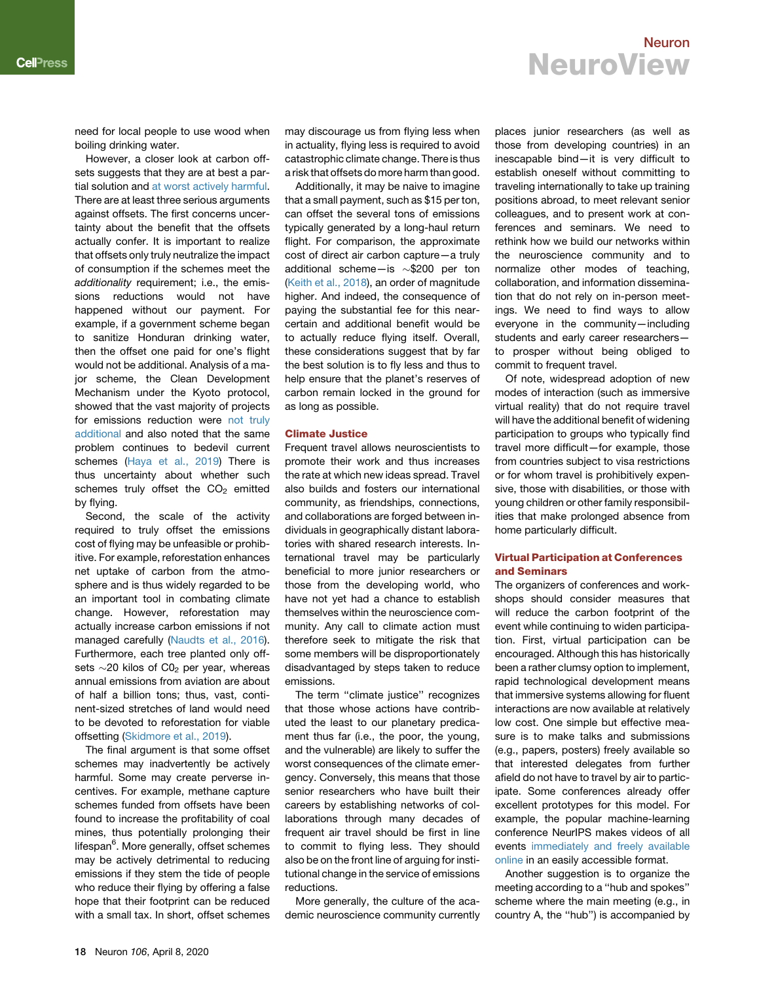## Neuron **NeuroView**

need for local people to use wood when boiling drinking water.

However, a closer look at carbon offsets suggests that they are at best a partial solution and [at worst actively harmful.](https://academicflyingblog.wordpress.com/2020/02/04/we-dont-need-aviation-offsets-institutions-and-individuals-can-own-their-carbon-emissions/) There are at least three serious arguments against offsets. The first concerns uncertainty about the benefit that the offsets actually confer. It is important to realize that offsets only truly neutralize the impact of consumption if the schemes meet the *additionality* requirement; i.e., the emissions reductions would not have happened without our payment. For example, if a government scheme began to sanitize Honduran drinking water, then the offset one paid for one's flight would not be additional. Analysis of a major scheme, the Clean Development Mechanism under the Kyoto protocol, showed that the vast majority of projects for emissions reduction were [not truly](https://ec.europa.eu/clima/sites/clima/files/ets/docs/clean_dev_mechanism_en.pdf) [additional](https://ec.europa.eu/clima/sites/clima/files/ets/docs/clean_dev_mechanism_en.pdf) and also noted that the same problem continues to bedevil current schemes ([Haya et al., 2019\)](#page-3-8) There is thus uncertainty about whether such schemes truly offset the  $CO<sub>2</sub>$  emitted by flying.

Second, the scale of the activity required to truly offset the emissions cost of flying may be unfeasible or prohibitive. For example, reforestation enhances net uptake of carbon from the atmosphere and is thus widely regarded to be an important tool in combating climate change. However, reforestation may actually increase carbon emissions if not managed carefully ([Naudts et al., 2016\)](#page-3-9). Furthermore, each tree planted only offsets  $\sim$ 20 kilos of C0<sub>2</sub> per year, whereas annual emissions from aviation are about of half a billion tons; thus, vast, continent-sized stretches of land would need to be devoted to reforestation for viable offsetting ([Skidmore et al., 2019](#page-3-10)).

The final argument is that some offset schemes may inadvertently be actively harmful. Some may create perverse incentives. For example, methane capture schemes funded from offsets have been found to increase the profitability of coal mines, thus potentially prolonging their lifespan<sup>6</sup>. More generally, offset schemes may be actively detrimental to reducing emissions if they stem the tide of people who reduce their flying by offering a false hope that their footprint can be reduced with a small tax. In short, offset schemes

may discourage us from flying less when in actuality, flying less is required to avoid catastrophic climate change. There is thus a risk that offsets do more harm than good.

Additionally, it may be naive to imagine that a small payment, such as \$15 per ton, can offset the several tons of emissions typically generated by a long-haul return flight. For comparison, the approximate cost of direct air carbon capture—a truly additional scheme—is  $\sim$ \$200 per ton [\(Keith et al., 2018](#page-3-11)), an order of magnitude higher. And indeed, the consequence of paying the substantial fee for this nearcertain and additional benefit would be to actually reduce flying itself. Overall, these considerations suggest that by far the best solution is to fly less and thus to help ensure that the planet's reserves of carbon remain locked in the ground for as long as possible.

### Climate Justice

Frequent travel allows neuroscientists to promote their work and thus increases the rate at which new ideas spread. Travel also builds and fosters our international community, as friendships, connections, and collaborations are forged between individuals in geographically distant laboratories with shared research interests. International travel may be particularly beneficial to more junior researchers or those from the developing world, who have not yet had a chance to establish themselves within the neuroscience community. Any call to climate action must therefore seek to mitigate the risk that some members will be disproportionately disadvantaged by steps taken to reduce emissions.

The term ''climate justice'' recognizes that those whose actions have contributed the least to our planetary predicament thus far (i.e., the poor, the young, and the vulnerable) are likely to suffer the worst consequences of the climate emergency. Conversely, this means that those senior researchers who have built their careers by establishing networks of collaborations through many decades of frequent air travel should be first in line to commit to flying less. They should also be on the front line of arguing for institutional change in the service of emissions reductions.

More generally, the culture of the academic neuroscience community currently places junior researchers (as well as those from developing countries) in an inescapable bind—it is very difficult to establish oneself without committing to traveling internationally to take up training positions abroad, to meet relevant senior colleagues, and to present work at conferences and seminars. We need to rethink how we build our networks within the neuroscience community and to normalize other modes of teaching, collaboration, and information dissemination that do not rely on in-person meetings. We need to find ways to allow everyone in the community—including students and early career researchers to prosper without being obliged to commit to frequent travel.

Of note, widespread adoption of new modes of interaction (such as immersive virtual reality) that do not require travel will have the additional benefit of widening participation to groups who typically find travel more difficult—for example, those from countries subject to visa restrictions or for whom travel is prohibitively expensive, those with disabilities, or those with young children or other family responsibilities that make prolonged absence from home particularly difficult.

### Virtual Participation at Conferences and Seminars

The organizers of conferences and workshops should consider measures that will reduce the carbon footprint of the event while continuing to widen participation. First, virtual participation can be encouraged. Although this has historically been a rather clumsy option to implement, rapid technological development means that immersive systems allowing for fluent interactions are now available at relatively low cost. One simple but effective measure is to make talks and submissions (e.g., papers, posters) freely available so that interested delegates from further afield do not have to travel by air to participate. Some conferences already offer excellent prototypes for this model. For example, the popular machine-learning conference NeurIPS makes videos of all events [immediately and freely available](https://slideslive.com/neurips/) [online](https://slideslive.com/neurips/) in an easily accessible format.

Another suggestion is to organize the meeting according to a ''hub and spokes'' scheme where the main meeting (e.g., in country A, the ''hub'') is accompanied by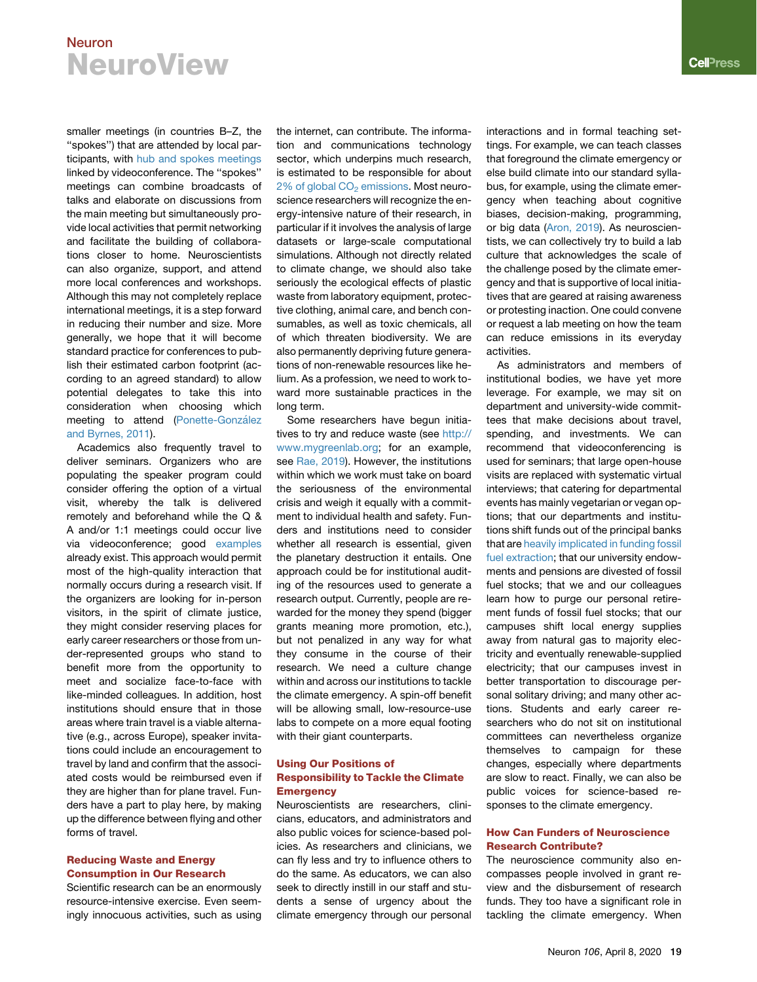## Neuron **NeuroView**

smaller meetings (in countries B–Z, the ''spokes'') that are attended by local participants, with [hub and spokes meetings](http://www.brainhack.org/global2018/) linked by videoconference. The ''spokes'' meetings can combine broadcasts of talks and elaborate on discussions from the main meeting but simultaneously provide local activities that permit networking and facilitate the building of collaborations closer to home. Neuroscientists can also organize, support, and attend more local conferences and workshops. Although this may not completely replace international meetings, it is a step forward in reducing their number and size. More generally, we hope that it will become standard practice for conferences to publish their estimated carbon footprint (according to an agreed standard) to allow potential delegates to take this into consideration when choosing which meeting to attend (Ponette-González [and Byrnes, 2011\)](#page-3-12).

Academics also frequently travel to deliver seminars. Organizers who are populating the speaker program could consider offering the option of a virtual visit, whereby the talk is delivered remotely and beforehand while the Q & A and/or 1:1 meetings could occur live via videoconference; good [examples](https://greenseminars.ch/) already exist. This approach would permit most of the high-quality interaction that normally occurs during a research visit. If the organizers are looking for in-person visitors, in the spirit of climate justice, they might consider reserving places for early career researchers or those from under-represented groups who stand to benefit more from the opportunity to meet and socialize face-to-face with like-minded colleagues. In addition, host institutions should ensure that in those areas where train travel is a viable alternative (e.g., across Europe), speaker invitations could include an encouragement to travel by land and confirm that the associated costs would be reimbursed even if they are higher than for plane travel. Funders have a part to play here, by making up the difference between flying and other forms of travel.

### Reducing Waste and Energy Consumption in Our Research

Scientific research can be an enormously resource-intensive exercise. Even seemingly innocuous activities, such as using the internet, can contribute. The information and communications technology sector, which underpins much research, is estimated to be responsible for about 2% of global CO<sub>2</sub> [emissions.](https://www.parliament.uk/documents/post/postpn319.pdf) Most neuroscience researchers will recognize the energy-intensive nature of their research, in particular if it involves the analysis of large datasets or large-scale computational simulations. Although not directly related to climate change, we should also take seriously the ecological effects of plastic waste from laboratory equipment, protective clothing, animal care, and bench consumables, as well as toxic chemicals, all of which threaten biodiversity. We are also permanently depriving future generations of non-renewable resources like helium. As a profession, we need to work toward more sustainable practices in the long term.

Some researchers have begun initiatives to try and reduce waste (see [http://](http://www.mygreenlab.org) [www.mygreenlab.org;](http://www.mygreenlab.org) for an example, see [Rae, 2019](#page-3-13)). However, the institutions within which we work must take on board the seriousness of the environmental crisis and weigh it equally with a commitment to individual health and safety. Funders and institutions need to consider whether all research is essential, given the planetary destruction it entails. One approach could be for institutional auditing of the resources used to generate a research output. Currently, people are rewarded for the money they spend (bigger grants meaning more promotion, etc.), but not penalized in any way for what they consume in the course of their research. We need a culture change within and across our institutions to tackle the climate emergency. A spin-off benefit will be allowing small, low-resource-use labs to compete on a more equal footing with their giant counterparts.

### Using Our Positions of Responsibility to Tackle the Climate **Emergency**

Neuroscientists are researchers, clinicians, educators, and administrators and also public voices for science-based policies. As researchers and clinicians, we can fly less and try to influence others to do the same. As educators, we can also seek to directly instill in our staff and students a sense of urgency about the climate emergency through our personal

interactions and in formal teaching settings. For example, we can teach classes that foreground the climate emergency or else build climate into our standard syllabus, for example, using the climate emergency when teaching about cognitive biases, decision-making, programming, or big data ([Aron, 2019\)](#page-3-14). As neuroscientists, we can collectively try to build a lab culture that acknowledges the scale of the challenge posed by the climate emergency and that is supportive of local initiatives that are geared at raising awareness or protesting inaction. One could convene or request a lab meeting on how the team can reduce emissions in its everyday activities.

As administrators and members of institutional bodies, we have yet more leverage. For example, we may sit on department and university-wide committees that make decisions about travel, spending, and investments. We can recommend that videoconferencing is used for seminars; that large open-house visits are replaced with systematic virtual interviews; that catering for departmental events has mainly vegetarian or vegan options; that our departments and institutions shift funds out of the principal banks that are [heavily implicated in funding fossil](http://priceofoil.org/content/uploads/2019/03/Banking-on-Climate-Change-2019-final.pdf) [fuel extraction](http://priceofoil.org/content/uploads/2019/03/Banking-on-Climate-Change-2019-final.pdf); that our university endowments and pensions are divested of fossil fuel stocks; that we and our colleagues learn how to purge our personal retirement funds of fossil fuel stocks; that our campuses shift local energy supplies away from natural gas to majority electricity and eventually renewable-supplied electricity; that our campuses invest in better transportation to discourage personal solitary driving; and many other actions. Students and early career researchers who do not sit on institutional committees can nevertheless organize themselves to campaign for these changes, especially where departments are slow to react. Finally, we can also be public voices for science-based responses to the climate emergency.

### How Can Funders of Neuroscience Research Contribute?

The neuroscience community also encompasses people involved in grant review and the disbursement of research funds. They too have a significant role in tackling the climate emergency. When